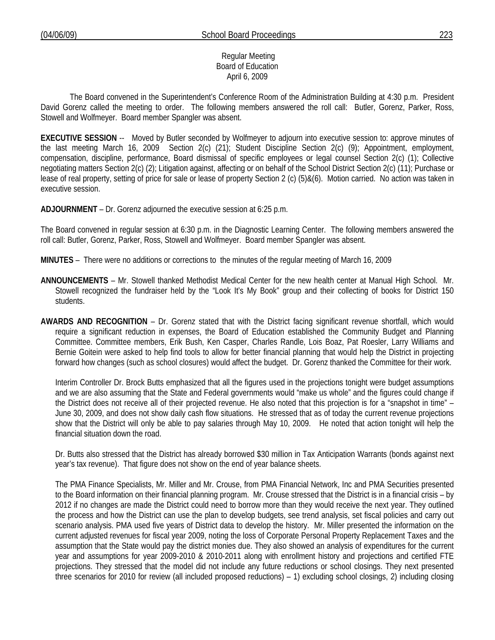### Regular Meeting Board of Education April 6, 2009

 The Board convened in the Superintendent's Conference Room of the Administration Building at 4:30 p.m. President David Gorenz called the meeting to order. The following members answered the roll call: Butler, Gorenz, Parker, Ross, Stowell and Wolfmeyer. Board member Spangler was absent.

**EXECUTIVE SESSION** -- Moved by Butler seconded by Wolfmeyer to adjourn into executive session to: approve minutes of the last meeting March 16, 2009 Section 2(c) (21); Student Discipline Section 2(c) (9); Appointment, employment, compensation, discipline, performance, Board dismissal of specific employees or legal counsel Section 2(c) (1); Collective negotiating matters Section 2(c) (2); Litigation against, affecting or on behalf of the School District Section 2(c) (11); Purchase or lease of real property, setting of price for sale or lease of property Section 2 (c) (5)&(6). Motion carried. No action was taken in executive session.

**ADJOURNMENT** – Dr. Gorenz adjourned the executive session at 6:25 p.m.

The Board convened in regular session at 6:30 p.m. in the Diagnostic Learning Center. The following members answered the roll call: Butler, Gorenz, Parker, Ross, Stowell and Wolfmeyer. Board member Spangler was absent.

**MINUTES** – There were no additions or corrections to the minutes of the regular meeting of March 16, 2009

- **ANNOUNCEMENTS** Mr. Stowell thanked Methodist Medical Center for the new health center at Manual High School. Mr. Stowell recognized the fundraiser held by the "Look It's My Book" group and their collecting of books for District 150 students.
- **AWARDS AND RECOGNITION** Dr. Gorenz stated that with the District facing significant revenue shortfall, which would require a significant reduction in expenses, the Board of Education established the Community Budget and Planning Committee. Committee members, Erik Bush, Ken Casper, Charles Randle, Lois Boaz, Pat Roesler, Larry Williams and Bernie Goitein were asked to help find tools to allow for better financial planning that would help the District in projecting forward how changes (such as school closures) would affect the budget. Dr. Gorenz thanked the Committee for their work.

 Interim Controller Dr. Brock Butts emphasized that all the figures used in the projections tonight were budget assumptions and we are also assuming that the State and Federal governments would "make us whole" and the figures could change if the District does not receive all of their projected revenue. He also noted that this projection is for a "snapshot in time" – June 30, 2009, and does not show daily cash flow situations. He stressed that as of today the current revenue projections show that the District will only be able to pay salaries through May 10, 2009. He noted that action tonight will help the financial situation down the road.

 Dr. Butts also stressed that the District has already borrowed \$30 million in Tax Anticipation Warrants (bonds against next year's tax revenue). That figure does not show on the end of year balance sheets.

The PMA Finance Specialists, Mr. Miller and Mr. Crouse, from PMA Financial Network, Inc and PMA Securities presented to the Board information on their financial planning program. Mr. Crouse stressed that the District is in a financial crisis – by 2012 if no changes are made the District could need to borrow more than they would receive the next year. They outlined the process and how the District can use the plan to develop budgets, see trend analysis, set fiscal policies and carry out scenario analysis. PMA used five years of District data to develop the history. Mr. Miller presented the information on the current adjusted revenues for fiscal year 2009, noting the loss of Corporate Personal Property Replacement Taxes and the assumption that the State would pay the district monies due. They also showed an analysis of expenditures for the current year and assumptions for year 2009-2010 & 2010-2011 along with enrollment history and projections and certified FTE projections. They stressed that the model did not include any future reductions or school closings. They next presented three scenarios for 2010 for review (all included proposed reductions) – 1) excluding school closings, 2) including closing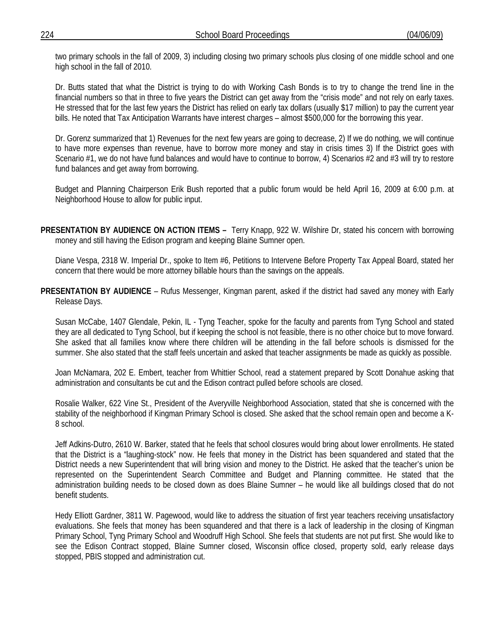two primary schools in the fall of 2009, 3) including closing two primary schools plus closing of one middle school and one high school in the fall of 2010.

Dr. Butts stated that what the District is trying to do with Working Cash Bonds is to try to change the trend line in the financial numbers so that in three to five years the District can get away from the "crisis mode" and not rely on early taxes. He stressed that for the last few years the District has relied on early tax dollars (usually \$17 million) to pay the current year bills. He noted that Tax Anticipation Warrants have interest charges – almost \$500,000 for the borrowing this year.

Dr. Gorenz summarized that 1) Revenues for the next few years are going to decrease, 2) If we do nothing, we will continue to have more expenses than revenue, have to borrow more money and stay in crisis times 3) If the District goes with Scenario #1, we do not have fund balances and would have to continue to borrow, 4) Scenarios #2 and #3 will try to restore fund balances and get away from borrowing.

Budget and Planning Chairperson Erik Bush reported that a public forum would be held April 16, 2009 at 6:00 p.m. at Neighborhood House to allow for public input.

**PRESENTATION BY AUDIENCE ON ACTION ITEMS –** Terry Knapp, 922 W. Wilshire Dr, stated his concern with borrowing money and still having the Edison program and keeping Blaine Sumner open.

 Diane Vespa, 2318 W. Imperial Dr., spoke to Item #6, Petitions to Intervene Before Property Tax Appeal Board, stated her concern that there would be more attorney billable hours than the savings on the appeals.

**PRESENTATION BY AUDIENCE** – Rufus Messenger, Kingman parent, asked if the district had saved any money with Early Release Days.

 Susan McCabe, 1407 Glendale, Pekin, IL - Tyng Teacher, spoke for the faculty and parents from Tyng School and stated they are all dedicated to Tyng School, but if keeping the school is not feasible, there is no other choice but to move forward. She asked that all families know where there children will be attending in the fall before schools is dismissed for the summer. She also stated that the staff feels uncertain and asked that teacher assignments be made as quickly as possible.

 Joan McNamara, 202 E. Embert, teacher from Whittier School, read a statement prepared by Scott Donahue asking that administration and consultants be cut and the Edison contract pulled before schools are closed.

 Rosalie Walker, 622 Vine St., President of the Averyville Neighborhood Association, stated that she is concerned with the stability of the neighborhood if Kingman Primary School is closed. She asked that the school remain open and become a K-8 school.

 Jeff Adkins-Dutro, 2610 W. Barker, stated that he feels that school closures would bring about lower enrollments. He stated that the District is a "laughing-stock" now. He feels that money in the District has been squandered and stated that the District needs a new Superintendent that will bring vision and money to the District. He asked that the teacher's union be represented on the Superintendent Search Committee and Budget and Planning committee. He stated that the administration building needs to be closed down as does Blaine Sumner – he would like all buildings closed that do not benefit students.

 Hedy Elliott Gardner, 3811 W. Pagewood, would like to address the situation of first year teachers receiving unsatisfactory evaluations. She feels that money has been squandered and that there is a lack of leadership in the closing of Kingman Primary School, Tyng Primary School and Woodruff High School. She feels that students are not put first. She would like to see the Edison Contract stopped, Blaine Sumner closed, Wisconsin office closed, property sold, early release days stopped, PBIS stopped and administration cut.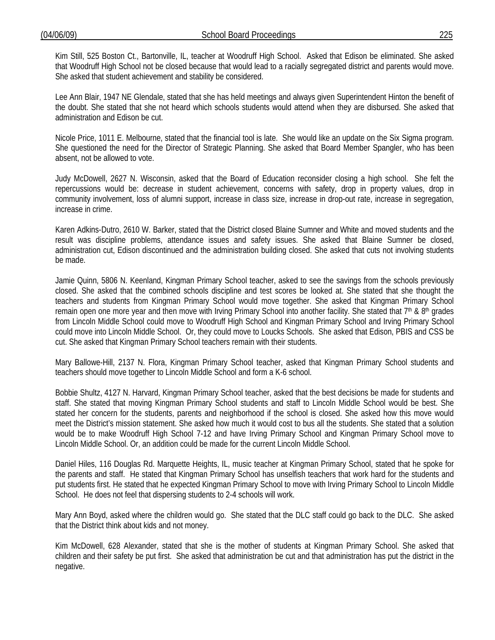Kim Still, 525 Boston Ct., Bartonville, IL, teacher at Woodruff High School. Asked that Edison be eliminated. She asked that Woodruff High School not be closed because that would lead to a racially segregated district and parents would move. She asked that student achievement and stability be considered.

 Lee Ann Blair, 1947 NE Glendale, stated that she has held meetings and always given Superintendent Hinton the benefit of the doubt. She stated that she not heard which schools students would attend when they are disbursed. She asked that administration and Edison be cut.

 Nicole Price, 1011 E. Melbourne, stated that the financial tool is late. She would like an update on the Six Sigma program. She questioned the need for the Director of Strategic Planning. She asked that Board Member Spangler, who has been absent, not be allowed to vote.

 Judy McDowell, 2627 N. Wisconsin, asked that the Board of Education reconsider closing a high school. She felt the repercussions would be: decrease in student achievement, concerns with safety, drop in property values, drop in community involvement, loss of alumni support, increase in class size, increase in drop-out rate, increase in segregation, increase in crime.

 Karen Adkins-Dutro, 2610 W. Barker, stated that the District closed Blaine Sumner and White and moved students and the result was discipline problems, attendance issues and safety issues. She asked that Blaine Sumner be closed, administration cut, Edison discontinued and the administration building closed. She asked that cuts not involving students be made.

 Jamie Quinn, 5806 N. Keenland, Kingman Primary School teacher, asked to see the savings from the schools previously closed. She asked that the combined schools discipline and test scores be looked at. She stated that she thought the teachers and students from Kingman Primary School would move together. She asked that Kingman Primary School remain open one more year and then move with Irving Primary School into another facility. She stated that 7<sup>th</sup> & 8<sup>th</sup> grades from Lincoln Middle School could move to Woodruff High School and Kingman Primary School and Irving Primary School could move into Lincoln Middle School. Or, they could move to Loucks Schools. She asked that Edison, PBIS and CSS be cut. She asked that Kingman Primary School teachers remain with their students.

 Mary Ballowe-Hill, 2137 N. Flora, Kingman Primary School teacher, asked that Kingman Primary School students and teachers should move together to Lincoln Middle School and form a K-6 school.

 Bobbie Shultz, 4127 N. Harvard, Kingman Primary School teacher, asked that the best decisions be made for students and staff. She stated that moving Kingman Primary School students and staff to Lincoln Middle School would be best. She stated her concern for the students, parents and neighborhood if the school is closed. She asked how this move would meet the District's mission statement. She asked how much it would cost to bus all the students. She stated that a solution would be to make Woodruff High School 7-12 and have Irving Primary School and Kingman Primary School move to Lincoln Middle School. Or, an addition could be made for the current Lincoln Middle School.

 Daniel Hiles, 116 Douglas Rd. Marquette Heights, IL, music teacher at Kingman Primary School, stated that he spoke for the parents and staff. He stated that Kingman Primary School has unselfish teachers that work hard for the students and put students first. He stated that he expected Kingman Primary School to move with Irving Primary School to Lincoln Middle School. He does not feel that dispersing students to 2-4 schools will work.

 Mary Ann Boyd, asked where the children would go. She stated that the DLC staff could go back to the DLC. She asked that the District think about kids and not money.

 Kim McDowell, 628 Alexander, stated that she is the mother of students at Kingman Primary School. She asked that children and their safety be put first. She asked that administration be cut and that administration has put the district in the negative.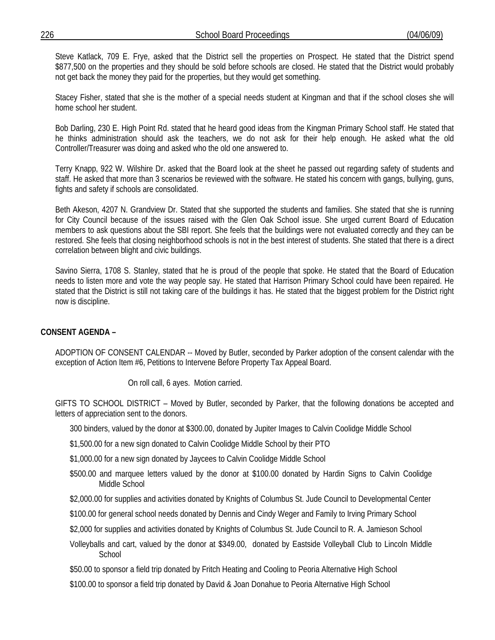Steve Katlack, 709 E. Frye, asked that the District sell the properties on Prospect. He stated that the District spend \$877,500 on the properties and they should be sold before schools are closed. He stated that the District would probably not get back the money they paid for the properties, but they would get something.

 Stacey Fisher, stated that she is the mother of a special needs student at Kingman and that if the school closes she will home school her student.

 Bob Darling, 230 E. High Point Rd. stated that he heard good ideas from the Kingman Primary School staff. He stated that he thinks administration should ask the teachers, we do not ask for their help enough. He asked what the old Controller/Treasurer was doing and asked who the old one answered to.

 Terry Knapp, 922 W. Wilshire Dr. asked that the Board look at the sheet he passed out regarding safety of students and staff. He asked that more than 3 scenarios be reviewed with the software. He stated his concern with gangs, bullying, guns, fights and safety if schools are consolidated.

 Beth Akeson, 4207 N. Grandview Dr. Stated that she supported the students and families. She stated that she is running for City Council because of the issues raised with the Glen Oak School issue. She urged current Board of Education members to ask questions about the SBI report. She feels that the buildings were not evaluated correctly and they can be restored. She feels that closing neighborhood schools is not in the best interest of students. She stated that there is a direct correlation between blight and civic buildings.

 Savino Sierra, 1708 S. Stanley, stated that he is proud of the people that spoke. He stated that the Board of Education needs to listen more and vote the way people say. He stated that Harrison Primary School could have been repaired. He stated that the District is still not taking care of the buildings it has. He stated that the biggest problem for the District right now is discipline.

# **CONSENT AGENDA –**

ADOPTION OF CONSENT CALENDAR -- Moved by Butler, seconded by Parker adoption of the consent calendar with the exception of Action Item #6, Petitions to Intervene Before Property Tax Appeal Board.

On roll call, 6 ayes. Motion carried.

GIFTS TO SCHOOL DISTRICT – Moved by Butler, seconded by Parker, that the following donations be accepted and letters of appreciation sent to the donors.

300 binders, valued by the donor at \$300.00, donated by Jupiter Images to Calvin Coolidge Middle School

\$1,500.00 for a new sign donated to Calvin Coolidge Middle School by their PTO

\$1,000.00 for a new sign donated by Jaycees to Calvin Coolidge Middle School

\$500.00 and marquee letters valued by the donor at \$100.00 donated by Hardin Signs to Calvin Coolidge Middle School

\$2,000.00 for supplies and activities donated by Knights of Columbus St. Jude Council to Developmental Center

- \$100.00 for general school needs donated by Dennis and Cindy Weger and Family to Irving Primary School
- \$2,000 for supplies and activities donated by Knights of Columbus St. Jude Council to R. A. Jamieson School
- Volleyballs and cart, valued by the donor at \$349.00, donated by Eastside Volleyball Club to Lincoln Middle **School**

\$50.00 to sponsor a field trip donated by Fritch Heating and Cooling to Peoria Alternative High School

\$100.00 to sponsor a field trip donated by David & Joan Donahue to Peoria Alternative High School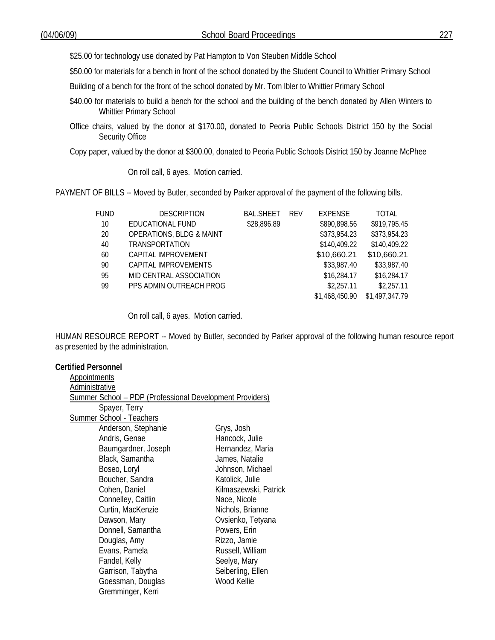\$25.00 for technology use donated by Pat Hampton to Von Steuben Middle School

\$50.00 for materials for a bench in front of the school donated by the Student Council to Whittier Primary School

Building of a bench for the front of the school donated by Mr. Tom Ibler to Whittier Primary School

- \$40.00 for materials to build a bench for the school and the building of the bench donated by Allen Winters to Whittier Primary School
- Office chairs, valued by the donor at \$170.00, donated to Peoria Public Schools District 150 by the Social Security Office

Copy paper, valued by the donor at \$300.00, donated to Peoria Public Schools District 150 by Joanne McPhee

On roll call, 6 ayes. Motion carried.

PAYMENT OF BILLS -- Moved by Butler, seconded by Parker approval of the payment of the following bills.

| FUND | <b>DESCRIPTION</b>                  | <b>BAL.SHEET</b> | <b>RFV</b> | <b>EXPENSE</b> | <b>TOTAL</b>   |
|------|-------------------------------------|------------------|------------|----------------|----------------|
| 10   | EDUCATIONAL FUND                    | \$28,896.89      |            | \$890,898.56   | \$919,795.45   |
| 20   | <b>OPERATIONS, BLDG &amp; MAINT</b> |                  |            | \$373,954.23   | \$373,954.23   |
| 40   | TRANSPORTATION                      |                  |            | \$140,409.22   | \$140,409.22   |
| 60   | CAPITAL IMPROVEMENT                 |                  |            | \$10,660.21    | \$10,660.21    |
| 90   | CAPITAL IMPROVEMENTS                |                  |            | \$33,987.40    | \$33,987.40    |
| 95   | MID CENTRAL ASSOCIATION             |                  |            | \$16,284.17    | \$16,284.17    |
| 99   | PPS ADMIN OUTREACH PROG             |                  |            | \$2,257.11     | \$2,257.11     |
|      |                                     |                  |            | \$1,468,450.90 | \$1,497,347.79 |
|      |                                     |                  |            |                |                |

On roll call, 6 ayes. Motion carried.

HUMAN RESOURCE REPORT -- Moved by Butler, seconded by Parker approval of the following human resource report as presented by the administration.

### **Certified Personnel**

| <b>Summer School - PDP (Professional Development Providers)</b> |  |  |  |  |  |
|-----------------------------------------------------------------|--|--|--|--|--|
|                                                                 |  |  |  |  |  |
|                                                                 |  |  |  |  |  |
| Anderson, Stephanie<br>Grys, Josh                               |  |  |  |  |  |
| Hancock, Julie                                                  |  |  |  |  |  |
| Baumgardner, Joseph<br>Hernandez, Maria                         |  |  |  |  |  |
| James, Natalie                                                  |  |  |  |  |  |
| Johnson, Michael                                                |  |  |  |  |  |
| Katolick, Julie                                                 |  |  |  |  |  |
| Kilmaszewski, Patrick                                           |  |  |  |  |  |
| Nace, Nicole                                                    |  |  |  |  |  |
| Nichols, Brianne                                                |  |  |  |  |  |
| Ovsienko, Tetyana                                               |  |  |  |  |  |
| Powers, Erin                                                    |  |  |  |  |  |
| Rizzo, Jamie                                                    |  |  |  |  |  |
| Russell, William                                                |  |  |  |  |  |
| Seelye, Mary                                                    |  |  |  |  |  |
| Seiberling, Ellen                                               |  |  |  |  |  |
| Wood Kellie                                                     |  |  |  |  |  |
|                                                                 |  |  |  |  |  |
|                                                                 |  |  |  |  |  |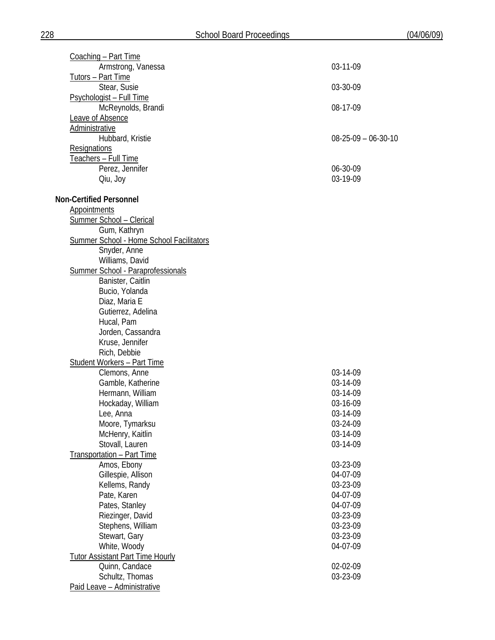| Coaching - Part Time                                   |                               |
|--------------------------------------------------------|-------------------------------|
| Armstrong, Vanessa                                     | 03-11-09                      |
| Tutors - Part Time                                     |                               |
| Stear, Susie                                           | 03-30-09                      |
| Psychologist - Full Time                               |                               |
| McReynolds, Brandi                                     | 08-17-09                      |
| <b>Leave of Absence</b>                                |                               |
| Administrative                                         |                               |
| Hubbard, Kristie                                       | $08 - 25 - 09 - 06 - 30 - 10$ |
| Resignations                                           |                               |
| Teachers - Full Time                                   |                               |
| Perez, Jennifer                                        | 06-30-09                      |
|                                                        | 03-19-09                      |
| Qiu, Joy                                               |                               |
| <b>Non-Certified Personnel</b>                         |                               |
| <b>Appointments</b>                                    |                               |
| Summer School - Clerical                               |                               |
| Gum, Kathryn                                           |                               |
| Summer School - Home School Facilitators               |                               |
| Snyder, Anne                                           |                               |
| Williams, David                                        |                               |
|                                                        |                               |
| Summer School - Paraprofessionals<br>Banister, Caitlin |                               |
|                                                        |                               |
| Bucio, Yolanda                                         |                               |
| Diaz, Maria E                                          |                               |
| Gutierrez, Adelina                                     |                               |
| Hucal, Pam                                             |                               |
| Jorden, Cassandra                                      |                               |
| Kruse, Jennifer                                        |                               |
| Rich, Debbie                                           |                               |
| <b>Student Workers - Part Time</b>                     |                               |
| Clemons, Anne                                          | 03-14-09                      |
| Gamble, Katherine                                      | 03-14-09                      |
| Hermann, William                                       | 03-14-09                      |
| Hockaday, William                                      | 03-16-09                      |
| Lee, Anna                                              | 03-14-09                      |
| Moore, Tymarksu                                        | 03-24-09                      |
| McHenry, Kaitlin                                       | 03-14-09                      |
| Stovall, Lauren                                        | 03-14-09                      |
| Transportation - Part Time                             |                               |
| Amos, Ebony                                            | 03-23-09                      |
| Gillespie, Allison                                     | 04-07-09                      |
| Kellems, Randy                                         | 03-23-09                      |
| Pate, Karen                                            | 04-07-09                      |
| Pates, Stanley                                         | 04-07-09                      |
| Riezinger, David                                       | 03-23-09                      |
| Stephens, William                                      | 03-23-09                      |
| Stewart, Gary                                          | 03-23-09                      |
| White, Woody                                           | 04-07-09                      |
|                                                        |                               |
| <b>Tutor Assistant Part Time Hourly</b>                |                               |
| Quinn, Candace                                         | 02-02-09                      |
| Schultz, Thomas                                        | 03-23-09                      |
| Paid Leave - Administrative                            |                               |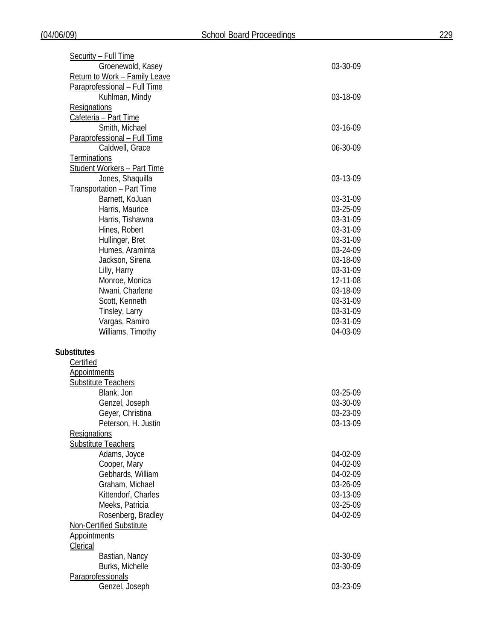| Security - Full Time               |          |
|------------------------------------|----------|
| Groenewold, Kasey                  | 03-30-09 |
| Return to Work - Family Leave      |          |
| Paraprofessional - Full Time       |          |
| Kuhlman, Mindy                     | 03-18-09 |
| Resignations                       |          |
| Cafeteria - Part Time              |          |
| Smith, Michael                     | 03-16-09 |
| Paraprofessional - Full Time       |          |
| Caldwell, Grace                    | 06-30-09 |
| <b>Terminations</b>                |          |
| <b>Student Workers - Part Time</b> |          |
| Jones, Shaquilla                   | 03-13-09 |
|                                    |          |
| <b>Transportation - Part Time</b>  |          |
| Barnett, KoJuan                    | 03-31-09 |
| Harris, Maurice                    | 03-25-09 |
| Harris, Tishawna                   | 03-31-09 |
| Hines, Robert                      | 03-31-09 |
| Hullinger, Bret                    | 03-31-09 |
| Humes, Araminta                    | 03-24-09 |
| Jackson, Sirena                    | 03-18-09 |
| Lilly, Harry                       | 03-31-09 |
| Monroe, Monica                     | 12-11-08 |
| Nwani, Charlene                    | 03-18-09 |
| Scott, Kenneth                     | 03-31-09 |
| Tinsley, Larry                     | 03-31-09 |
| Vargas, Ramiro                     | 03-31-09 |
| Williams, Timothy                  | 04-03-09 |
|                                    |          |
| <b>Substitutes</b>                 |          |
| Certified                          |          |
| <b>Appointments</b>                |          |
| <b>Substitute Teachers</b>         |          |
| Blank, Jon                         | 03-25-09 |
|                                    | 03-30-09 |
| Genzel, Joseph                     |          |
| Geyer, Christina                   | 03-23-09 |
| Peterson, H. Justin                | 03-13-09 |
| Resignations                       |          |
| <b>Substitute Teachers</b>         |          |
| Adams, Joyce                       | 04-02-09 |
| Cooper, Mary                       | 04-02-09 |
| Gebhards, William                  | 04-02-09 |
| Graham, Michael                    | 03-26-09 |
| Kittendorf, Charles                | 03-13-09 |
| Meeks, Patricia                    | 03-25-09 |
| Rosenberg, Bradley                 | 04-02-09 |
| Non-Certified Substitute           |          |
| <b>Appointments</b>                |          |
| Clerical                           |          |
| Bastian, Nancy                     | 03-30-09 |
| Burks, Michelle                    | 03-30-09 |
| Paraprofessionals                  |          |
| Genzel, Joseph                     | 03-23-09 |
|                                    |          |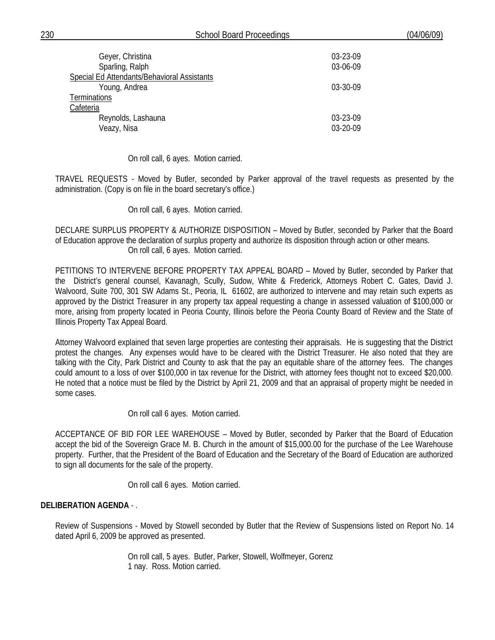| 230<br>School Board F<br>Proceedings | (04/06/09) |
|--------------------------------------|------------|
|--------------------------------------|------------|

| Geyer, Christina<br>Sparling, Ralph         | 03-23-09<br>03-06-09 |
|---------------------------------------------|----------------------|
| Special Ed Attendants/Behavioral Assistants |                      |
| Young, Andrea                               | 03-30-09             |
| Terminations                                |                      |
| Cafeteria                                   |                      |
| Reynolds, Lashauna                          | 03-23-09             |
| Veazy, Nisa                                 | 03-20-09             |

On roll call, 6 ayes. Motion carried.

TRAVEL REQUESTS - Moved by Butler, seconded by Parker approval of the travel requests as presented by the administration. (Copy is on file in the board secretary's office.)

On roll call, 6 ayes. Motion carried.

DECLARE SURPLUS PROPERTY & AUTHORIZE DISPOSITION – Moved by Butler, seconded by Parker that the Board of Education approve the declaration of surplus property and authorize its disposition through action or other means. On roll call, 6 ayes. Motion carried.

PETITIONS TO INTERVENE BEFORE PROPERTY TAX APPEAL BOARD – Moved by Butler, seconded by Parker that the District's general counsel, Kavanagh, Scully, Sudow, White & Frederick, Attorneys Robert C. Gates, David J. Walvoord, Suite 700, 301 SW Adams St., Peoria, IL 61602, are authorized to intervene and may retain such experts as approved by the District Treasurer in any property tax appeal requesting a change in assessed valuation of \$100,000 or more, arising from property located in Peoria County, Illinois before the Peoria County Board of Review and the State of Illinois Property Tax Appeal Board.

Attorney Walvoord explained that seven large properties are contesting their appraisals. He is suggesting that the District protest the changes. Any expenses would have to be cleared with the District Treasurer. He also noted that they are talking with the City, Park District and County to ask that the pay an equitable share of the attorney fees. The changes could amount to a loss of over \$100,000 in tax revenue for the District, with attorney fees thought not to exceed \$20,000. He noted that a notice must be filed by the District by April 21, 2009 and that an appraisal of property might be needed in some cases.

On roll call 6 ayes. Motion carried.

 ACCEPTANCE OF BID FOR LEE WAREHOUSE – Moved by Butler, seconded by Parker that the Board of Education accept the bid of the Sovereign Grace M. B. Church in the amount of \$15,000.00 for the purchase of the Lee Warehouse property. Further, that the President of the Board of Education and the Secretary of the Board of Education are authorized to sign all documents for the sale of the property.

On roll call 6 ayes. Motion carried.

### **DELIBERATION AGENDA** - .

Review of Suspensions - Moved by Stowell seconded by Butler that the Review of Suspensions listed on Report No. 14 dated April 6, 2009 be approved as presented.

> On roll call, 5 ayes. Butler, Parker, Stowell, Wolfmeyer, Gorenz 1 nay. Ross. Motion carried.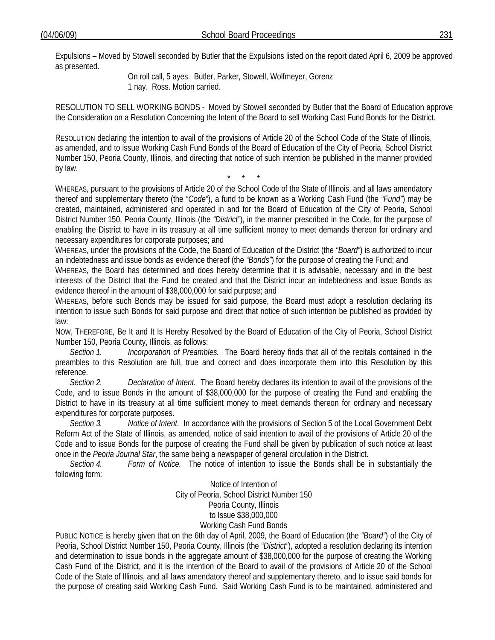Expulsions – Moved by Stowell seconded by Butler that the Expulsions listed on the report dated April 6, 2009 be approved as presented.

 On roll call, 5 ayes. Butler, Parker, Stowell, Wolfmeyer, Gorenz 1 nay. Ross. Motion carried.

RESOLUTION TO SELL WORKING BONDS - Moved by Stowell seconded by Butler that the Board of Education approve the Consideration on a Resolution Concerning the Intent of the Board to sell Working Cast Fund Bonds for the District.

RESOLUTION declaring the intention to avail of the provisions of Article 20 of the School Code of the State of Illinois, as amended, and to issue Working Cash Fund Bonds of the Board of Education of the City of Peoria, School District Number 150, Peoria County, Illinois, and directing that notice of such intention be published in the manner provided by law.

\* \* \* WHEREAS, pursuant to the provisions of Article 20 of the School Code of the State of Illinois, and all laws amendatory thereof and supplementary thereto (the *"Code"*), a fund to be known as a Working Cash Fund (the *"Fund"*) may be created, maintained, administered and operated in and for the Board of Education of the City of Peoria, School District Number 150, Peoria County, Illinois (the *"District"*), in the manner prescribed in the Code, for the purpose of enabling the District to have in its treasury at all time sufficient money to meet demands thereon for ordinary and necessary expenditures for corporate purposes; and

WHEREAS, under the provisions of the Code, the Board of Education of the District (the *"Board"*) is authorized to incur an indebtedness and issue bonds as evidence thereof (the *"Bonds"*) for the purpose of creating the Fund; and

WHEREAS, the Board has determined and does hereby determine that it is advisable, necessary and in the best interests of the District that the Fund be created and that the District incur an indebtedness and issue Bonds as evidence thereof in the amount of \$38,000,000 for said purpose; and

WHEREAS, before such Bonds may be issued for said purpose, the Board must adopt a resolution declaring its intention to issue such Bonds for said purpose and direct that notice of such intention be published as provided by law:

NOW, THEREFORE, Be It and It Is Hereby Resolved by the Board of Education of the City of Peoria, School District Number 150, Peoria County, Illinois, as follows:

*Section 1. Incorporation of Preambles.* The Board hereby finds that all of the recitals contained in the preambles to this Resolution are full, true and correct and does incorporate them into this Resolution by this reference.

*Section 2. Declaration of Intent.* The Board hereby declares its intention to avail of the provisions of the Code, and to issue Bonds in the amount of \$38,000,000 for the purpose of creating the Fund and enabling the District to have in its treasury at all time sufficient money to meet demands thereon for ordinary and necessary expenditures for corporate purposes.

*Section 3. Notice of Intent.* In accordance with the provisions of Section 5 of the Local Government Debt Reform Act of the State of Illinois, as amended, notice of said intention to avail of the provisions of Article 20 of the Code and to issue Bonds for the purpose of creating the Fund shall be given by publication of such notice at least once in the *Peoria Journal Star*, the same being a newspaper of general circulation in the District.

 *Section 4. Form of Notice.* The notice of intention to issue the Bonds shall be in substantially the following form:

> Notice of Intention of City of Peoria, School District Number 150 Peoria County, Illinois to Issue \$38,000,000 Working Cash Fund Bonds

PUBLIC NOTICE is hereby given that on the 6th day of April, 2009, the Board of Education (the *"Board"*) of the City of Peoria, School District Number 150, Peoria County, Illinois (the *"District"*), adopted a resolution declaring its intention and determination to issue bonds in the aggregate amount of \$38,000,000 for the purpose of creating the Working Cash Fund of the District, and it is the intention of the Board to avail of the provisions of Article 20 of the School Code of the State of Illinois, and all laws amendatory thereof and supplementary thereto, and to issue said bonds for the purpose of creating said Working Cash Fund. Said Working Cash Fund is to be maintained, administered and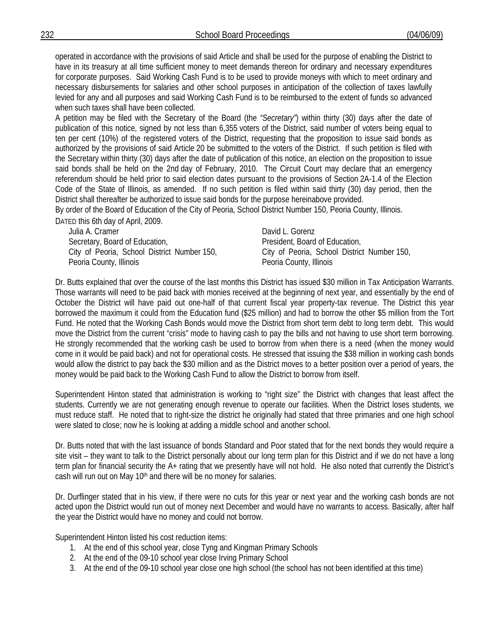operated in accordance with the provisions of said Article and shall be used for the purpose of enabling the District to have in its treasury at all time sufficient money to meet demands thereon for ordinary and necessary expenditures for corporate purposes. Said Working Cash Fund is to be used to provide moneys with which to meet ordinary and necessary disbursements for salaries and other school purposes in anticipation of the collection of taxes lawfully levied for any and all purposes and said Working Cash Fund is to be reimbursed to the extent of funds so advanced when such taxes shall have been collected.

A petition may be filed with the Secretary of the Board (the *"Secretary"*) within thirty (30) days after the date of publication of this notice, signed by not less than 6,355 voters of the District, said number of voters being equal to ten per cent (10%) of the registered voters of the District, requesting that the proposition to issue said bonds as authorized by the provisions of said Article 20 be submitted to the voters of the District. If such petition is filed with the Secretary within thirty (30) days after the date of publication of this notice, an election on the proposition to issue said bonds shall be held on the 2nd day of February, 2010. The Circuit Court may declare that an emergency referendum should be held prior to said election dates pursuant to the provisions of Section 2A-1.4 of the Election Code of the State of Illinois, as amended. If no such petition is filed within said thirty (30) day period, then the District shall thereafter be authorized to issue said bonds for the purpose hereinabove provided.

By order of the Board of Education of the City of Peoria, School District Number 150, Peoria County, Illinois. DATED this 6th day of April, 2009.

Julia A. Cramer **David L. Gorenz** Secretary, Board of Education, City of Peoria, School District Number 150, Peoria County, Illinois

President, Board of Education, City of Peoria, School District Number 150, Peoria County, Illinois

Dr. Butts explained that over the course of the last months this District has issued \$30 million in Tax Anticipation Warrants. Those warrants will need to be paid back with monies received at the beginning of next year, and essentially by the end of October the District will have paid out one-half of that current fiscal year property-tax revenue. The District this year borrowed the maximum it could from the Education fund (\$25 million) and had to borrow the other \$5 million from the Tort Fund. He noted that the Working Cash Bonds would move the District from short term debt to long term debt. This would move the District from the current "crisis" mode to having cash to pay the bills and not having to use short term borrowing. He strongly recommended that the working cash be used to borrow from when there is a need (when the money would come in it would be paid back) and not for operational costs. He stressed that issuing the \$38 million in working cash bonds would allow the district to pay back the \$30 million and as the District moves to a better position over a period of years, the money would be paid back to the Working Cash Fund to allow the District to borrow from itself.

Superintendent Hinton stated that administration is working to "right size" the District with changes that least affect the students. Currently we are not generating enough revenue to operate our facilities. When the District loses students, we must reduce staff. He noted that to right-size the district he originally had stated that three primaries and one high school were slated to close; now he is looking at adding a middle school and another school.

Dr. Butts noted that with the last issuance of bonds Standard and Poor stated that for the next bonds they would require a site visit – they want to talk to the District personally about our long term plan for this District and if we do not have a long term plan for financial security the A+ rating that we presently have will not hold. He also noted that currently the District's cash will run out on May 10<sup>th</sup> and there will be no money for salaries.

Dr. Durflinger stated that in his view, if there were no cuts for this year or next year and the working cash bonds are not acted upon the District would run out of money next December and would have no warrants to access. Basically, after half the year the District would have no money and could not borrow.

Superintendent Hinton listed his cost reduction items:

- 1. At the end of this school year, close Tyng and Kingman Primary Schools
- 2. At the end of the 09-10 school year close Irving Primary School
- 3. At the end of the 09-10 school year close one high school (the school has not been identified at this time)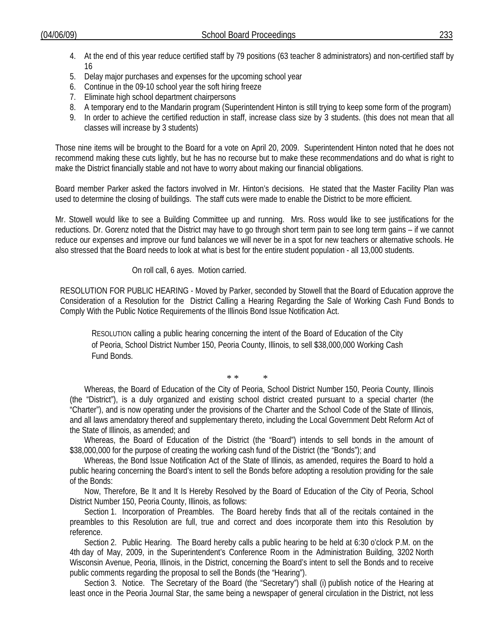- 4. At the end of this year reduce certified staff by 79 positions (63 teacher 8 administrators) and non-certified staff by 16
- 5. Delay major purchases and expenses for the upcoming school year
- 6. Continue in the 09-10 school year the soft hiring freeze
- 7. Eliminate high school department chairpersons
- 8. A temporary end to the Mandarin program (Superintendent Hinton is still trying to keep some form of the program)
- 9. In order to achieve the certified reduction in staff, increase class size by 3 students. (this does not mean that all classes will increase by 3 students)

Those nine items will be brought to the Board for a vote on April 20, 2009. Superintendent Hinton noted that he does not recommend making these cuts lightly, but he has no recourse but to make these recommendations and do what is right to make the District financially stable and not have to worry about making our financial obligations.

Board member Parker asked the factors involved in Mr. Hinton's decisions. He stated that the Master Facility Plan was used to determine the closing of buildings. The staff cuts were made to enable the District to be more efficient.

Mr. Stowell would like to see a Building Committee up and running. Mrs. Ross would like to see justifications for the reductions. Dr. Gorenz noted that the District may have to go through short term pain to see long term gains – if we cannot reduce our expenses and improve our fund balances we will never be in a spot for new teachers or alternative schools. He also stressed that the Board needs to look at what is best for the entire student population - all 13,000 students.

# On roll call, 6 ayes. Motion carried.

RESOLUTION FOR PUBLIC HEARING - Moved by Parker, seconded by Stowell that the Board of Education approve the Consideration of a Resolution for the District Calling a Hearing Regarding the Sale of Working Cash Fund Bonds to Comply With the Public Notice Requirements of the Illinois Bond Issue Notification Act.

RESOLUTION calling a public hearing concerning the intent of the Board of Education of the City of Peoria, School District Number 150, Peoria County, Illinois, to sell \$38,000,000 Working Cash Fund Bonds.

\* \* \*

Whereas, the Board of Education of the City of Peoria, School District Number 150, Peoria County, Illinois (the "District"), is a duly organized and existing school district created pursuant to a special charter (the "Charter"), and is now operating under the provisions of the Charter and the School Code of the State of Illinois, and all laws amendatory thereof and supplementary thereto, including the Local Government Debt Reform Act of the State of Illinois, as amended; and

Whereas, the Board of Education of the District (the "Board") intends to sell bonds in the amount of \$38,000,000 for the purpose of creating the working cash fund of the District (the "Bonds"); and

Whereas, the Bond Issue Notification Act of the State of Illinois, as amended, requires the Board to hold a public hearing concerning the Board's intent to sell the Bonds before adopting a resolution providing for the sale of the Bonds:

Now, Therefore, Be It and It Is Hereby Resolved by the Board of Education of the City of Peoria, School District Number 150, Peoria County, Illinois, as follows:

Section 1. Incorporation of Preambles. The Board hereby finds that all of the recitals contained in the preambles to this Resolution are full, true and correct and does incorporate them into this Resolution by reference.

Section 2. Public Hearing. The Board hereby calls a public hearing to be held at 6:30 o'clock P.M. on the 4th day of May, 2009, in the Superintendent's Conference Room in the Administration Building, 3202 North Wisconsin Avenue, Peoria, Illinois, in the District, concerning the Board's intent to sell the Bonds and to receive public comments regarding the proposal to sell the Bonds (the "Hearing").

Section 3. Notice. The Secretary of the Board (the "Secretary") shall (i) publish notice of the Hearing at least once in the Peoria Journal Star, the same being a newspaper of general circulation in the District, not less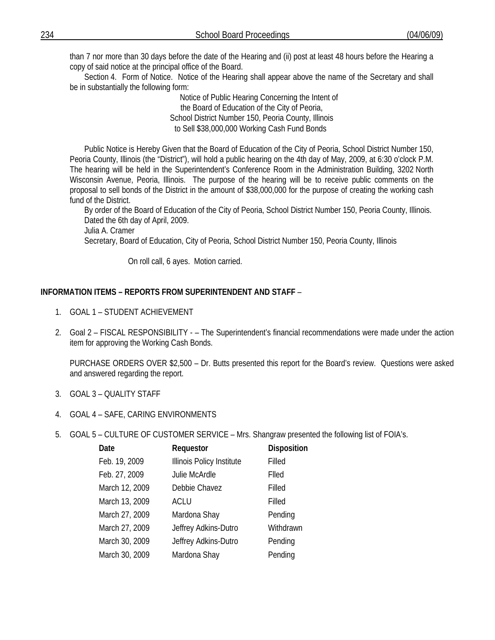than 7 nor more than 30 days before the date of the Hearing and (ii) post at least 48 hours before the Hearing a copy of said notice at the principal office of the Board.

Section 4. Form of Notice. Notice of the Hearing shall appear above the name of the Secretary and shall be in substantially the following form:

> Notice of Public Hearing Concerning the Intent of the Board of Education of the City of Peoria, School District Number 150, Peoria County, Illinois to Sell \$38,000,000 Working Cash Fund Bonds

Public Notice is Hereby Given that the Board of Education of the City of Peoria, School District Number 150, Peoria County, Illinois (the "District"), will hold a public hearing on the 4th day of May, 2009, at 6:30 o'clock P.M. The hearing will be held in the Superintendent's Conference Room in the Administration Building, 3202 North Wisconsin Avenue, Peoria, Illinois. The purpose of the hearing will be to receive public comments on the proposal to sell bonds of the District in the amount of \$38,000,000 for the purpose of creating the working cash fund of the District.

By order of the Board of Education of the City of Peoria, School District Number 150, Peoria County, Illinois. Dated the 6th day of April, 2009.

Julia A. Cramer

Secretary, Board of Education, City of Peoria, School District Number 150, Peoria County, Illinois

On roll call, 6 ayes. Motion carried.

# **INFORMATION ITEMS – REPORTS FROM SUPERINTENDENT AND STAFF** –

- 1. GOAL 1 STUDENT ACHIEVEMENT
- 2. Goal 2 FISCAL RESPONSIBILITY – The Superintendent's financial recommendations were made under the action item for approving the Working Cash Bonds.

PURCHASE ORDERS OVER \$2,500 – Dr. Butts presented this report for the Board's review. Questions were asked and answered regarding the report.

- 3. GOAL 3 QUALITY STAFF
- 4. GOAL 4 SAFE, CARING ENVIRONMENTS
- 5. GOAL 5 CULTURE OF CUSTOMER SERVICE Mrs. Shangraw presented the following list of FOIA's.

| Date           | Requestor                 | <b>Disposition</b> |
|----------------|---------------------------|--------------------|
| Feb. 19, 2009  | Illinois Policy Institute | Filled             |
| Feb. 27, 2009  | Julie McArdle             | Flled              |
| March 12, 2009 | Debbie Chavez             | Filled             |
| March 13, 2009 | <b>ACLU</b>               | Filled             |
| March 27, 2009 | Mardona Shay              | Pending            |
| March 27, 2009 | Jeffrey Adkins-Dutro      | Withdrawn          |
| March 30, 2009 | Jeffrey Adkins-Dutro      | Pending            |
| March 30, 2009 | Mardona Shay              | Pending            |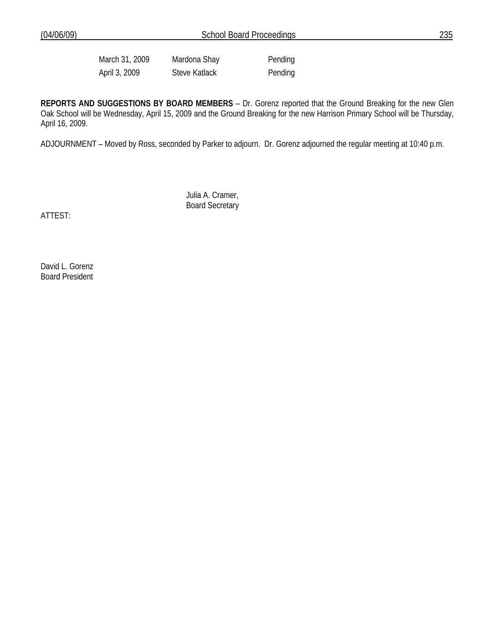March 31, 2009 Mardona Shay Pending April 3, 2009 Steve Katlack Pending

**REPORTS AND SUGGESTIONS BY BOARD MEMBERS** – Dr. Gorenz reported that the Ground Breaking for the new Glen Oak School will be Wednesday, April 15, 2009 and the Ground Breaking for the new Harrison Primary School will be Thursday, April 16, 2009.

ADJOURNMENT – Moved by Ross, seconded by Parker to adjourn. Dr. Gorenz adjourned the regular meeting at 10:40 p.m.

 Julia A. Cramer, Board Secretary

ATTEST:

David L. Gorenz Board President